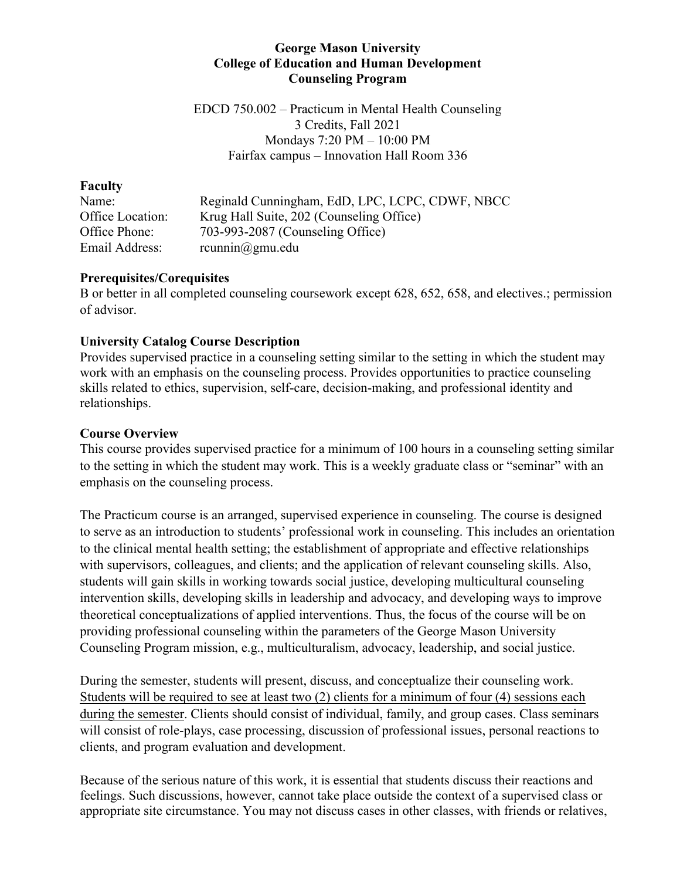#### **George Mason University College of Education and Human Development Counseling Program**

EDCD 750.002 – Practicum in Mental Health Counseling 3 Credits, Fall 2021 Mondays 7:20 PM – 10:00 PM Fairfax campus – Innovation Hall Room 336

#### **Faculty**

Name: Reginald Cunningham, EdD, LPC, LCPC, CDWF, NBCC Office Location: Krug Hall Suite, 202 (Counseling Office) Office Phone: 703-993-2087 (Counseling Office) Email Address: rcunnin@gmu.edu

#### **Prerequisites/Corequisites**

B or better in all completed counseling coursework except 628, 652, 658, and electives.; permission of advisor.

## **University Catalog Course Description**

Provides supervised practice in a counseling setting similar to the setting in which the student may work with an emphasis on the counseling process. Provides opportunities to practice counseling skills related to ethics, supervision, self-care, decision-making, and professional identity and relationships.

#### **Course Overview**

This course provides supervised practice for a minimum of 100 hours in a counseling setting similar to the setting in which the student may work. This is a weekly graduate class or "seminar" with an emphasis on the counseling process.

The Practicum course is an arranged, supervised experience in counseling. The course is designed to serve as an introduction to students' professional work in counseling. This includes an orientation to the clinical mental health setting; the establishment of appropriate and effective relationships with supervisors, colleagues, and clients; and the application of relevant counseling skills. Also, students will gain skills in working towards social justice, developing multicultural counseling intervention skills, developing skills in leadership and advocacy, and developing ways to improve theoretical conceptualizations of applied interventions. Thus, the focus of the course will be on providing professional counseling within the parameters of the George Mason University Counseling Program mission, e.g., multiculturalism, advocacy, leadership, and social justice.

During the semester, students will present, discuss, and conceptualize their counseling work. Students will be required to see at least two (2) clients for a minimum of four (4) sessions each during the semester. Clients should consist of individual, family, and group cases. Class seminars will consist of role-plays, case processing, discussion of professional issues, personal reactions to clients, and program evaluation and development.

Because of the serious nature of this work, it is essential that students discuss their reactions and feelings. Such discussions, however, cannot take place outside the context of a supervised class or appropriate site circumstance. You may not discuss cases in other classes, with friends or relatives,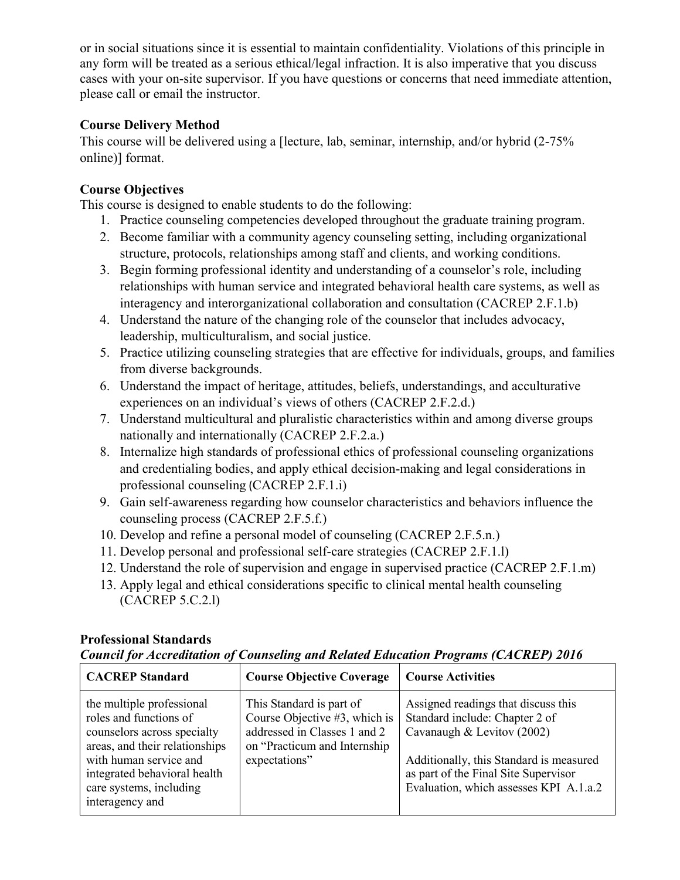or in social situations since it is essential to maintain confidentiality. Violations of this principle in any form will be treated as a serious ethical/legal infraction. It is also imperative that you discuss cases with your on-site supervisor. If you have questions or concerns that need immediate attention, please call or email the instructor.

## **Course Delivery Method**

This course will be delivered using a [lecture, lab, seminar, internship, and/or hybrid (2-75% online)] format.

## **Course Objectives**

This course is designed to enable students to do the following:

- 1. Practice counseling competencies developed throughout the graduate training program.
- 2. Become familiar with a community agency counseling setting, including organizational structure, protocols, relationships among staff and clients, and working conditions.
- 3. Begin forming professional identity and understanding of a counselor's role, including relationships with human service and integrated behavioral health care systems, as well as interagency and interorganizational collaboration and consultation (CACREP 2.F.1.b)
- 4. Understand the nature of the changing role of the counselor that includes advocacy, leadership, multiculturalism, and social justice.
- 5. Practice utilizing counseling strategies that are effective for individuals, groups, and families from diverse backgrounds.
- 6. Understand the impact of heritage, attitudes, beliefs, understandings, and acculturative experiences on an individual's views of others (CACREP 2.F.2.d.)
- 7. Understand multicultural and pluralistic characteristics within and among diverse groups nationally and internationally (CACREP 2.F.2.a.)
- 8. Internalize high standards of professional ethics of professional counseling organizations and credentialing bodies, and apply ethical decision-making and legal considerations in professional counseling (CACREP 2.F.1.i)
- 9. Gain self-awareness regarding how counselor characteristics and behaviors influence the counseling process (CACREP 2.F.5.f.)
- 10. Develop and refine a personal model of counseling (CACREP 2.F.5.n.)
- 11. Develop personal and professional self-care strategies (CACREP 2.F.1.l)
- 12. Understand the role of supervision and engage in supervised practice (CACREP 2.F.1.m)
- 13. Apply legal and ethical considerations specific to clinical mental health counseling (CACREP 5.C.2.l)

## **Professional Standards**

*Council for Accreditation of Counseling and Related Education Programs (CACREP) 2016*

| <b>CACREP</b> Standard                                                                                                                                                                                                       | <b>Course Objective Coverage</b>                                                                                                            | <b>Course Activities</b>                                                                                                                                                                                                         |
|------------------------------------------------------------------------------------------------------------------------------------------------------------------------------------------------------------------------------|---------------------------------------------------------------------------------------------------------------------------------------------|----------------------------------------------------------------------------------------------------------------------------------------------------------------------------------------------------------------------------------|
| the multiple professional<br>roles and functions of<br>counselors across specialty<br>areas, and their relationships<br>with human service and<br>integrated behavioral health<br>care systems, including<br>interagency and | This Standard is part of<br>Course Objective #3, which is<br>addressed in Classes 1 and 2<br>on "Practicum and Internship"<br>expectations" | Assigned readings that discuss this<br>Standard include: Chapter 2 of<br>Cavanaugh & Levitov (2002)<br>Additionally, this Standard is measured<br>as part of the Final Site Supervisor<br>Evaluation, which assesses KPI A.1.a.2 |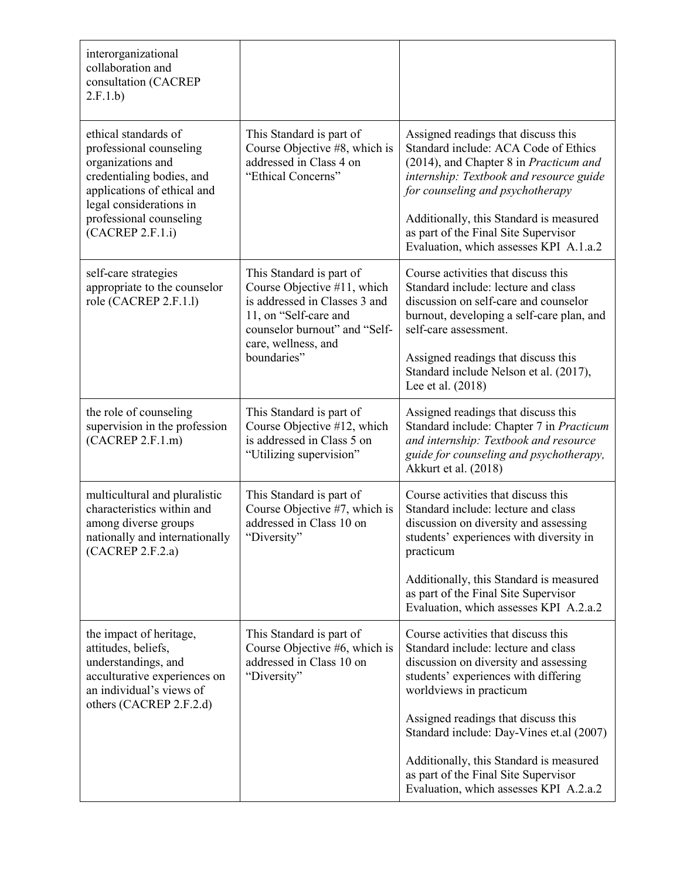| interorganizational<br>collaboration and<br>consultation (CACREP<br>2.F.1.b)                                                                                                           |                                                                                                                                                    |                                                                                                                                                                                                                                                 |  |  |  |
|----------------------------------------------------------------------------------------------------------------------------------------------------------------------------------------|----------------------------------------------------------------------------------------------------------------------------------------------------|-------------------------------------------------------------------------------------------------------------------------------------------------------------------------------------------------------------------------------------------------|--|--|--|
| ethical standards of<br>professional counseling<br>organizations and<br>credentialing bodies, and<br>applications of ethical and<br>legal considerations in<br>professional counseling | This Standard is part of<br>Course Objective #8, which is<br>addressed in Class 4 on<br>"Ethical Concerns"                                         | Assigned readings that discuss this<br>Standard include: ACA Code of Ethics<br>(2014), and Chapter 8 in Practicum and<br>internship: Textbook and resource guide<br>for counseling and psychotherapy<br>Additionally, this Standard is measured |  |  |  |
| (CACREP 2.F.1.i)                                                                                                                                                                       |                                                                                                                                                    | as part of the Final Site Supervisor<br>Evaluation, which assesses KPI A.1.a.2                                                                                                                                                                  |  |  |  |
| self-care strategies<br>appropriate to the counselor<br>role (CACREP 2.F.1.1)                                                                                                          | This Standard is part of<br>Course Objective #11, which<br>is addressed in Classes 3 and<br>11, on "Self-care and<br>counselor burnout" and "Self- | Course activities that discuss this<br>Standard include: lecture and class<br>discussion on self-care and counselor<br>burnout, developing a self-care plan, and<br>self-care assessment.                                                       |  |  |  |
|                                                                                                                                                                                        | care, wellness, and<br>boundaries"                                                                                                                 | Assigned readings that discuss this<br>Standard include Nelson et al. (2017),<br>Lee et al. (2018)                                                                                                                                              |  |  |  |
| the role of counseling<br>supervision in the profession<br>(CACREP 2.F.1.m)                                                                                                            | This Standard is part of<br>Course Objective #12, which<br>is addressed in Class 5 on<br>"Utilizing supervision"                                   | Assigned readings that discuss this<br>Standard include: Chapter 7 in Practicum<br>and internship: Textbook and resource<br>guide for counseling and psychotherapy,<br>Akkurt et al. (2018)                                                     |  |  |  |
| multicultural and pluralistic<br>characteristics within and<br>among diverse groups<br>nationally and internationally<br>(CACREP 2.F.2.a)                                              | This Standard is part of<br>Course Objective #7, which is<br>addressed in Class 10 on<br>"Diversity"                                               | Course activities that discuss this<br>Standard include: lecture and class<br>discussion on diversity and assessing<br>students' experiences with diversity in<br>practicum                                                                     |  |  |  |
|                                                                                                                                                                                        |                                                                                                                                                    | Additionally, this Standard is measured<br>as part of the Final Site Supervisor<br>Evaluation, which assesses KPI A.2.a.2                                                                                                                       |  |  |  |
| the impact of heritage,<br>attitudes, beliefs,<br>understandings, and<br>acculturative experiences on<br>an individual's views of<br>others (CACREP 2.F.2.d)                           | This Standard is part of<br>Course Objective #6, which is<br>addressed in Class 10 on<br>"Diversity"                                               | Course activities that discuss this<br>Standard include: lecture and class<br>discussion on diversity and assessing<br>students' experiences with differing<br>worldviews in practicum                                                          |  |  |  |
|                                                                                                                                                                                        |                                                                                                                                                    | Assigned readings that discuss this<br>Standard include: Day-Vines et.al (2007)                                                                                                                                                                 |  |  |  |
|                                                                                                                                                                                        |                                                                                                                                                    | Additionally, this Standard is measured<br>as part of the Final Site Supervisor<br>Evaluation, which assesses KPI A.2.a.2                                                                                                                       |  |  |  |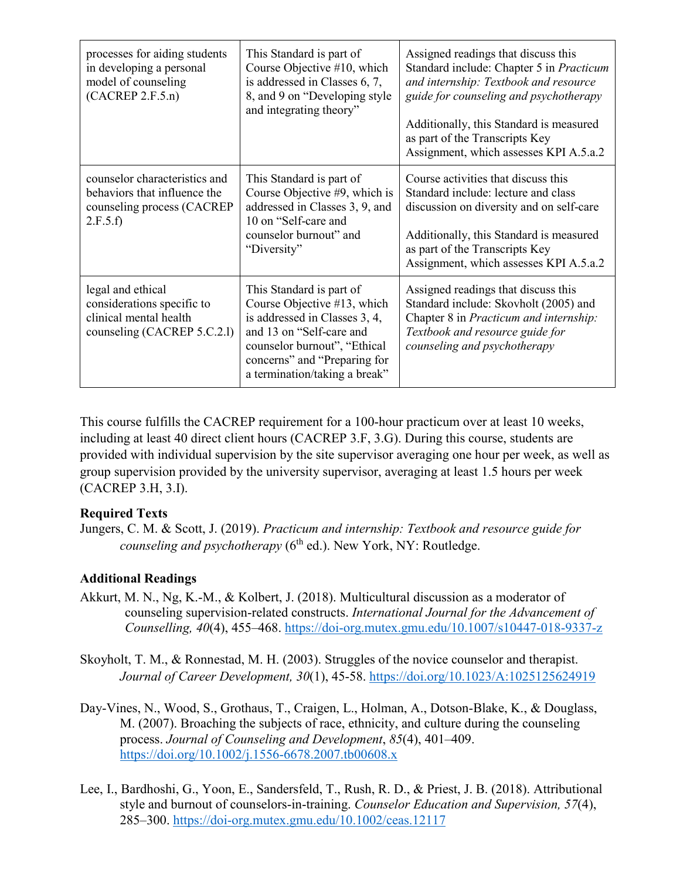| processes for aiding students<br>in developing a personal<br>model of counseling<br>(CACREP 2.F.5.n)     | This Standard is part of<br>Course Objective #10, which<br>is addressed in Classes 6, 7,<br>8, and 9 on "Developing style<br>and integrating theory"                                                                  | Assigned readings that discuss this<br>Standard include: Chapter 5 in Practicum<br>and internship: Textbook and resource<br>guide for counseling and psychotherapy<br>Additionally, this Standard is measured<br>as part of the Transcripts Key<br>Assignment, which assesses KPI A.5.a.2 |
|----------------------------------------------------------------------------------------------------------|-----------------------------------------------------------------------------------------------------------------------------------------------------------------------------------------------------------------------|-------------------------------------------------------------------------------------------------------------------------------------------------------------------------------------------------------------------------------------------------------------------------------------------|
| counselor characteristics and<br>behaviors that influence the<br>counseling process (CACREP<br>2.F.5.f   | This Standard is part of<br>Course Objective #9, which is<br>addressed in Classes 3, 9, and<br>10 on "Self-care and<br>counselor burnout" and<br>"Diversity"                                                          | Course activities that discuss this<br>Standard include: lecture and class<br>discussion on diversity and on self-care<br>Additionally, this Standard is measured<br>as part of the Transcripts Key<br>Assignment, which assesses KPI A.5.a.2                                             |
| legal and ethical<br>considerations specific to<br>clinical mental health<br>counseling (CACREP 5.C.2.1) | This Standard is part of<br>Course Objective #13, which<br>is addressed in Classes 3, 4,<br>and 13 on "Self-care and<br>counselor burnout", "Ethical<br>concerns" and "Preparing for<br>a termination/taking a break" | Assigned readings that discuss this<br>Standard include: Skovholt (2005) and<br>Chapter 8 in Practicum and internship:<br>Textbook and resource guide for<br>counseling and psychotherapy                                                                                                 |

This course fulfills the CACREP requirement for a 100-hour practicum over at least 10 weeks, including at least 40 direct client hours (CACREP 3.F, 3.G). During this course, students are provided with individual supervision by the site supervisor averaging one hour per week, as well as group supervision provided by the university supervisor, averaging at least 1.5 hours per week (CACREP 3.H, 3.I).

#### **Required Texts**

Jungers, C. M. & Scott, J. (2019). *Practicum and internship: Textbook and resource guide for counseling and psychotherapy* (6<sup>th</sup> ed.). New York, NY: Routledge.

## **Additional Readings**

- Akkurt, M. N., Ng, K.-M., & Kolbert, J. (2018). Multicultural discussion as a moderator of counseling supervision-related constructs. *International Journal for the Advancement of Counselling, 40*(4), 455–468.<https://doi-org.mutex.gmu.edu/10.1007/s10447-018-9337-z>
- Skoyholt, T. M., & Ronnestad, M. H. (2003). Struggles of the novice counselor and therapist. *Journal of Career Development, 30*(1), 45-58.<https://doi.org/10.1023/A:1025125624919>
- Day-Vines, N., Wood, S., Grothaus, T., Craigen, L., Holman, A., Dotson-Blake, K., & Douglass, M. (2007). Broaching the subjects of race, ethnicity, and culture during the counseling process. *Journal of Counseling and Development*, *85*(4), 401–409. <https://doi.org/10.1002/j.1556-6678.2007.tb00608.x>
- Lee, I., Bardhoshi, G., Yoon, E., Sandersfeld, T., Rush, R. D., & Priest, J. B. (2018). Attributional style and burnout of counselors‐in‐training. *Counselor Education and Supervision, 57*(4), 285–300.<https://doi-org.mutex.gmu.edu/10.1002/ceas.12117>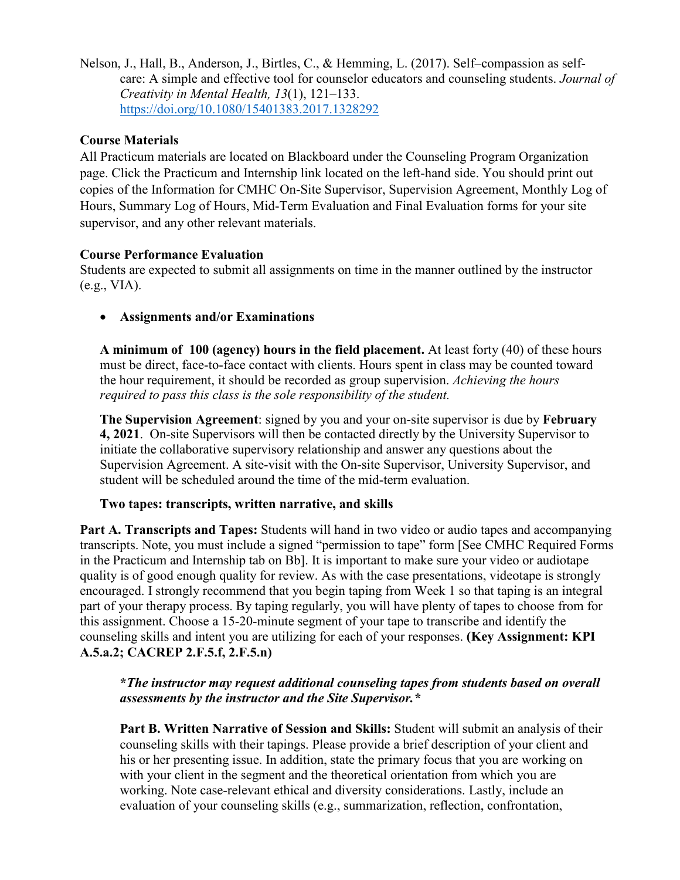Nelson, J., Hall, B., Anderson, J., Birtles, C., & Hemming, L. (2017). Self–compassion as selfcare: A simple and effective tool for counselor educators and counseling students. *Journal of Creativity in Mental Health, 13*(1), 121–133. <https://doi.org/10.1080/15401383.2017.1328292>

#### **Course Materials**

All Practicum materials are located on Blackboard under the Counseling Program Organization page. Click the Practicum and Internship link located on the left-hand side. You should print out copies of the Information for CMHC On-Site Supervisor, Supervision Agreement, Monthly Log of Hours, Summary Log of Hours, Mid-Term Evaluation and Final Evaluation forms for your site supervisor, and any other relevant materials.

#### **Course Performance Evaluation**

Students are expected to submit all assignments on time in the manner outlined by the instructor (e.g., VIA).

• **Assignments and/or Examinations**

**A minimum of 100 (agency) hours in the field placement.** At least forty (40) of these hours must be direct, face-to-face contact with clients. Hours spent in class may be counted toward the hour requirement, it should be recorded as group supervision. *Achieving the hours required to pass this class is the sole responsibility of the student.*

**The Supervision Agreement**: signed by you and your on-site supervisor is due by **February 4, 2021**. On-site Supervisors will then be contacted directly by the University Supervisor to initiate the collaborative supervisory relationship and answer any questions about the Supervision Agreement. A site-visit with the On-site Supervisor, University Supervisor, and student will be scheduled around the time of the mid-term evaluation.

#### **Two tapes: transcripts, written narrative, and skills**

**Part A. Transcripts and Tapes:** Students will hand in two video or audio tapes and accompanying transcripts. Note, you must include a signed "permission to tape" form [See CMHC Required Forms in the Practicum and Internship tab on Bb]. It is important to make sure your video or audiotape quality is of good enough quality for review. As with the case presentations, videotape is strongly encouraged. I strongly recommend that you begin taping from Week 1 so that taping is an integral part of your therapy process. By taping regularly, you will have plenty of tapes to choose from for this assignment. Choose a 15-20-minute segment of your tape to transcribe and identify the counseling skills and intent you are utilizing for each of your responses. **(Key Assignment: KPI A.5.a.2; CACREP 2.F.5.f, 2.F.5.n)**

**\****The instructor may request additional counseling tapes from students based on overall assessments by the instructor and the Site Supervisor.\**

**Part B. Written Narrative of Session and Skills:** Student will submit an analysis of their counseling skills with their tapings. Please provide a brief description of your client and his or her presenting issue. In addition, state the primary focus that you are working on with your client in the segment and the theoretical orientation from which you are working. Note case-relevant ethical and diversity considerations. Lastly, include an evaluation of your counseling skills (e.g., summarization, reflection, confrontation,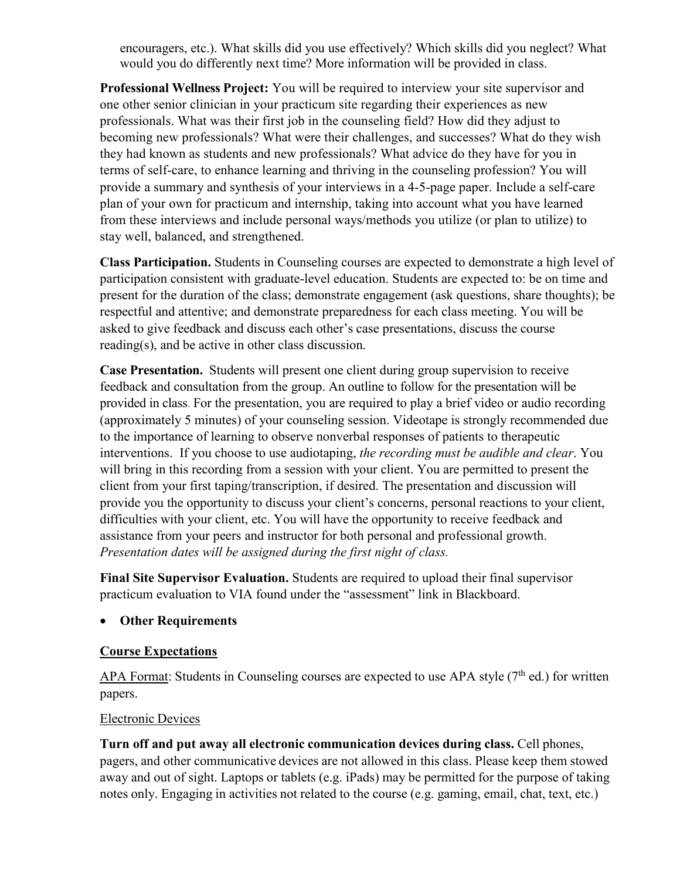encouragers, etc.). What skills did you use effectively? Which skills did you neglect? What would you do differently next time? More information will be provided in class.

**Professional Wellness Project:** You will be required to interview your site supervisor and one other senior clinician in your practicum site regarding their experiences as new professionals. What was their first job in the counseling field? How did they adjust to becoming new professionals? What were their challenges, and successes? What do they wish they had known as students and new professionals? What advice do they have for you in terms of self-care, to enhance learning and thriving in the counseling profession? You will provide a summary and synthesis of your interviews in a 4-5-page paper. Include a self-care plan of your own for practicum and internship, taking into account what you have learned from these interviews and include personal ways/methods you utilize (or plan to utilize) to stay well, balanced, and strengthened.

**Class Participation.** Students in Counseling courses are expected to demonstrate a high level of participation consistent with graduate-level education. Students are expected to: be on time and present for the duration of the class; demonstrate engagement (ask questions, share thoughts); be respectful and attentive; and demonstrate preparedness for each class meeting. You will be asked to give feedback and discuss each other's case presentations, discuss the course reading(s), and be active in other class discussion.

**Case Presentation.** Students will present one client during group supervision to receive feedback and consultation from the group. An outline to follow for the presentation will be provided in class. For the presentation, you are required to play a brief video or audio recording (approximately 5 minutes) of your counseling session. Videotape is strongly recommended due to the importance of learning to observe nonverbal responses of patients to therapeutic interventions. If you choose to use audiotaping, *the recording must be audible and clear*. You will bring in this recording from a session with your client. You are permitted to present the client from your first taping/transcription, if desired. The presentation and discussion will provide you the opportunity to discuss your client's concerns, personal reactions to your client, difficulties with your client, etc. You will have the opportunity to receive feedback and assistance from your peers and instructor for both personal and professional growth. *Presentation dates will be assigned during the first night of class.*

**Final Site Supervisor Evaluation.** Students are required to upload their final supervisor practicum evaluation to VIA found under the "assessment" link in Blackboard.

#### • **Other Requirements**

#### **Course Expectations**

APA Format: Students in Counseling courses are expected to use APA style  $(7<sup>th</sup>$  ed.) for written papers.

#### Electronic Devices

**Turn off and put away all electronic communication devices during class.** Cell phones, pagers, and other communicative devices are not allowed in this class. Please keep them stowed away and out of sight. Laptops or tablets (e.g. iPads) may be permitted for the purpose of taking notes only. Engaging in activities not related to the course (e.g. gaming, email, chat, text, etc.)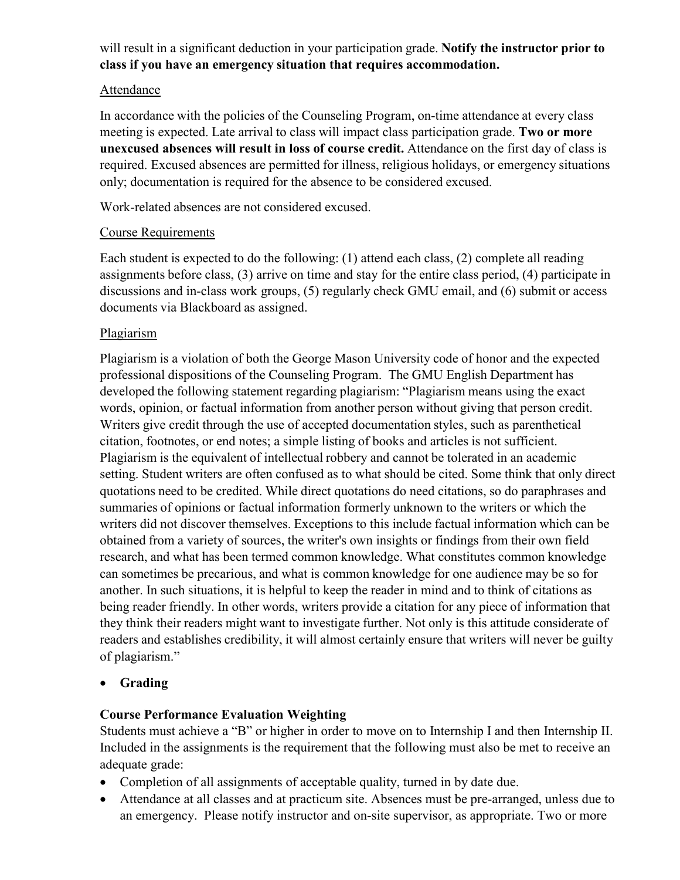## will result in a significant deduction in your participation grade. **Notify the instructor prior to class if you have an emergency situation that requires accommodation.**

#### Attendance

In accordance with the policies of the Counseling Program, on-time attendance at every class meeting is expected. Late arrival to class will impact class participation grade. **Two or more unexcused absences will result in loss of course credit.** Attendance on the first day of class is required. Excused absences are permitted for illness, religious holidays, or emergency situations only; documentation is required for the absence to be considered excused.

Work-related absences are not considered excused.

#### Course Requirements

Each student is expected to do the following: (1) attend each class, (2) complete all reading assignments before class, (3) arrive on time and stay for the entire class period, (4) participate in discussions and in-class work groups, (5) regularly check GMU email, and (6) submit or access documents via Blackboard as assigned.

#### Plagiarism

Plagiarism is a violation of both the George Mason University code of honor and the expected professional dispositions of the Counseling Program. The GMU English Department has developed the following statement regarding plagiarism: "Plagiarism means using the exact words, opinion, or factual information from another person without giving that person credit. Writers give credit through the use of accepted documentation styles, such as parenthetical citation, footnotes, or end notes; a simple listing of books and articles is not sufficient. Plagiarism is the equivalent of intellectual robbery and cannot be tolerated in an academic setting. Student writers are often confused as to what should be cited. Some think that only direct quotations need to be credited. While direct quotations do need citations, so do paraphrases and summaries of opinions or factual information formerly unknown to the writers or which the writers did not discover themselves. Exceptions to this include factual information which can be obtained from a variety of sources, the writer's own insights or findings from their own field research, and what has been termed common knowledge. What constitutes common knowledge can sometimes be precarious, and what is common knowledge for one audience may be so for another. In such situations, it is helpful to keep the reader in mind and to think of citations as being reader friendly. In other words, writers provide a citation for any piece of information that they think their readers might want to investigate further. Not only is this attitude considerate of readers and establishes credibility, it will almost certainly ensure that writers will never be guilty of plagiarism."

#### • **Grading**

#### **Course Performance Evaluation Weighting**

Students must achieve a "B" or higher in order to move on to Internship I and then Internship II. Included in the assignments is the requirement that the following must also be met to receive an adequate grade:

- Completion of all assignments of acceptable quality, turned in by date due.
- Attendance at all classes and at practicum site. Absences must be pre-arranged, unless due to an emergency. Please notify instructor and on-site supervisor, as appropriate. Two or more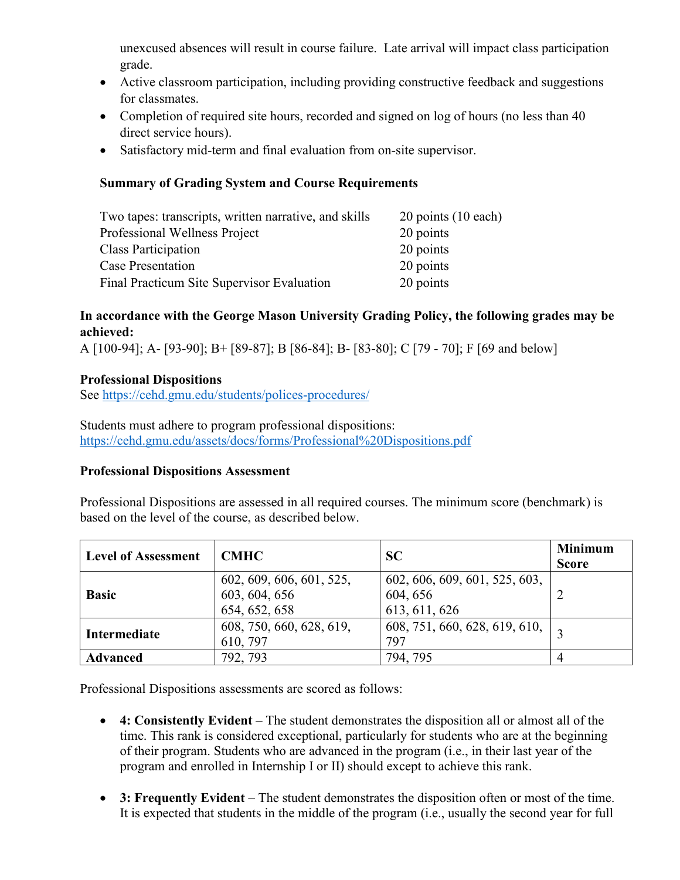unexcused absences will result in course failure. Late arrival will impact class participation grade.

- Active classroom participation, including providing constructive feedback and suggestions for classmates.
- Completion of required site hours, recorded and signed on log of hours (no less than 40 direct service hours).
- Satisfactory mid-term and final evaluation from on-site supervisor.

### **Summary of Grading System and Course Requirements**

| Two tapes: transcripts, written narrative, and skills | $20$ points $(10$ each) |
|-------------------------------------------------------|-------------------------|
| Professional Wellness Project                         | 20 points               |
| <b>Class Participation</b>                            | 20 points               |
| Case Presentation                                     | 20 points               |
| Final Practicum Site Supervisor Evaluation            | 20 points               |

## **In accordance with the George Mason University Grading Policy, the following grades may be achieved:**

A [100-94]; A- [93-90]; B+ [89-87]; B [86-84]; B- [83-80]; C [79 - 70]; F [69 and below]

## **Professional Dispositions**

See<https://cehd.gmu.edu/students/polices-procedures/>

Students must adhere to program professional dispositions: <https://cehd.gmu.edu/assets/docs/forms/Professional%20Dispositions.pdf>

#### **Professional Dispositions Assessment**

Professional Dispositions are assessed in all required courses. The minimum score (benchmark) is based on the level of the course, as described below.

| <b>Level of Assessment</b> | <b>CMHC</b>                                                | <b>SC</b>                                                  | <b>Minimum</b><br><b>Score</b> |
|----------------------------|------------------------------------------------------------|------------------------------------------------------------|--------------------------------|
| <b>Basic</b>               | 602, 609, 606, 601, 525,<br>603, 604, 656<br>654, 652, 658 | 602, 606, 609, 601, 525, 603,<br>604, 656<br>613, 611, 626 |                                |
| Intermediate               | 608, 750, 660, 628, 619,<br>610, 797                       | 608, 751, 660, 628, 619, 610,<br>797                       |                                |
| <b>Advanced</b>            | 792, 793                                                   | 794, 795                                                   |                                |

Professional Dispositions assessments are scored as follows:

- **4: Consistently Evident** The student demonstrates the disposition all or almost all of the time. This rank is considered exceptional, particularly for students who are at the beginning of their program. Students who are advanced in the program (i.e., in their last year of the program and enrolled in Internship I or II) should except to achieve this rank.
- **3: Frequently Evident** The student demonstrates the disposition often or most of the time. It is expected that students in the middle of the program (i.e., usually the second year for full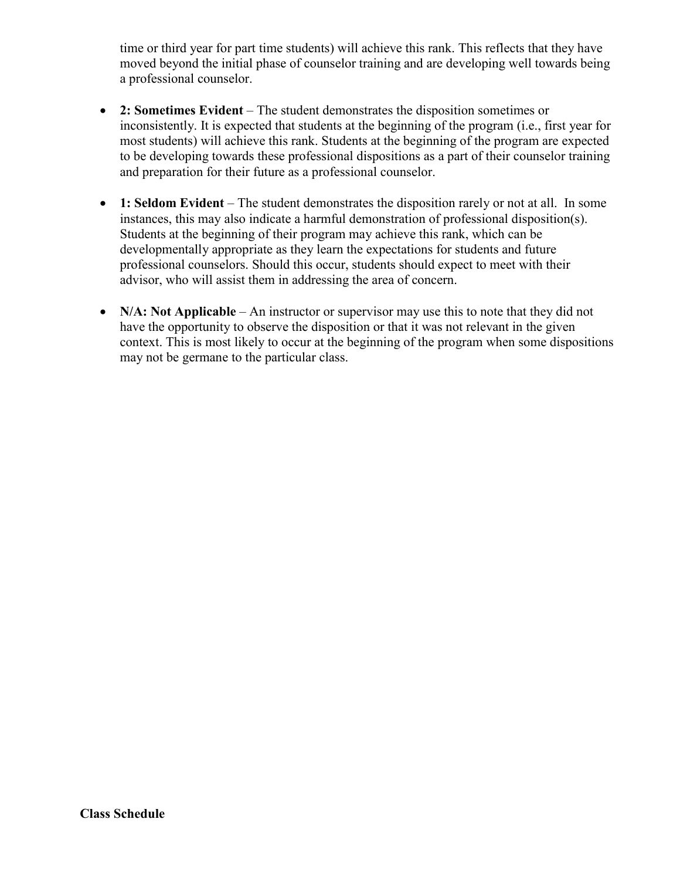time or third year for part time students) will achieve this rank. This reflects that they have moved beyond the initial phase of counselor training and are developing well towards being a professional counselor.

- **2: Sometimes Evident** The student demonstrates the disposition sometimes or inconsistently. It is expected that students at the beginning of the program (i.e., first year for most students) will achieve this rank. Students at the beginning of the program are expected to be developing towards these professional dispositions as a part of their counselor training and preparation for their future as a professional counselor.
- **1: Seldom Evident** The student demonstrates the disposition rarely or not at all. In some instances, this may also indicate a harmful demonstration of professional disposition(s). Students at the beginning of their program may achieve this rank, which can be developmentally appropriate as they learn the expectations for students and future professional counselors. Should this occur, students should expect to meet with their advisor, who will assist them in addressing the area of concern.
- **N/A: Not Applicable** An instructor or supervisor may use this to note that they did not have the opportunity to observe the disposition or that it was not relevant in the given context. This is most likely to occur at the beginning of the program when some dispositions may not be germane to the particular class.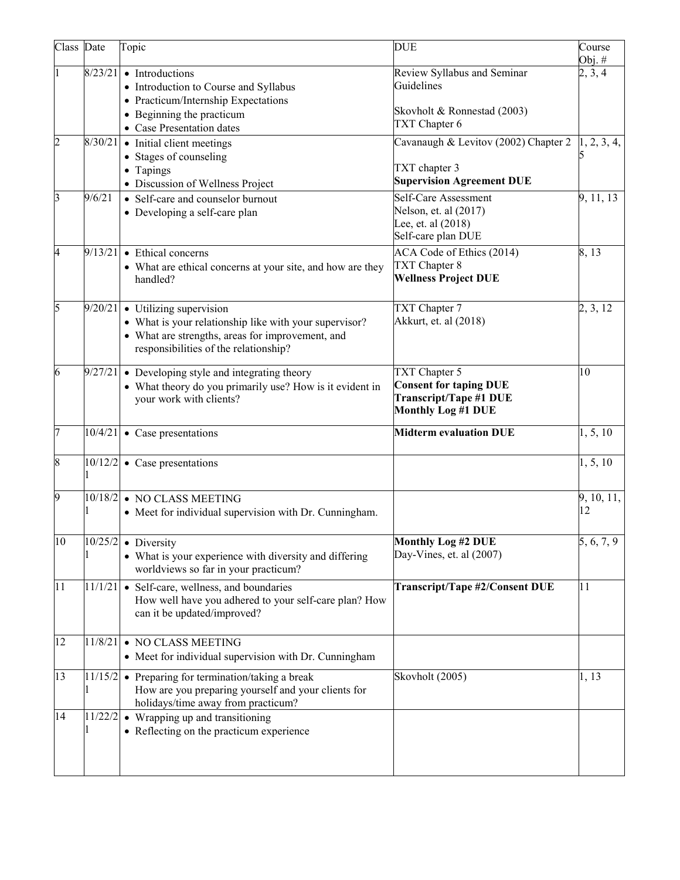| Class Date              |         | Topic                                                                                                                                                                                    | <b>DUE</b>                                                                                                   | Course<br>Obj. $#$ |
|-------------------------|---------|------------------------------------------------------------------------------------------------------------------------------------------------------------------------------------------|--------------------------------------------------------------------------------------------------------------|--------------------|
|                         | 8/23/21 | • Introductions<br>• Introduction to Course and Syllabus<br>• Practicum/Internship Expectations<br>• Beginning the practicum<br>• Case Presentation dates                                | Review Syllabus and Seminar<br>Guidelines<br>Skovholt & Ronnestad (2003)<br>TXT Chapter 6                    | 2, 3, 4            |
| $\overline{c}$          |         | $8/30/21$ • Initial client meetings<br>• Stages of counseling<br>• Tapings<br>• Discussion of Wellness Project                                                                           | Cavanaugh & Levitov (2002) Chapter 2<br>TXT chapter 3<br><b>Supervision Agreement DUE</b>                    | 1, 2, 3, 4,        |
| $\mathbf{\overline{3}}$ | 9/6/21  | • Self-care and counselor burnout<br>• Developing a self-care plan                                                                                                                       | Self-Care Assessment<br>Nelson, et. al (2017)<br>Lee, et. al (2018)<br>Self-care plan DUE                    | 9, 11, 13          |
| 4                       | 9/13/21 | • Ethical concerns<br>• What are ethical concerns at your site, and how are they<br>handled?                                                                                             | ACA Code of Ethics (2014)<br>TXT Chapter 8<br><b>Wellness Project DUE</b>                                    | 8,13               |
| 5                       |         | $9/20/21$ • Utilizing supervision<br>• What is your relationship like with your supervisor?<br>• What are strengths, areas for improvement, and<br>responsibilities of the relationship? | TXT Chapter 7<br>Akkurt, et. al (2018)                                                                       | 2, 3, 12           |
| 6                       |         | $9/27/21$ • Developing style and integrating theory<br>• What theory do you primarily use? How is it evident in<br>your work with clients?                                               | TXT Chapter 5<br><b>Consent for taping DUE</b><br><b>Transcript/Tape #1 DUE</b><br><b>Monthly Log #1 DUE</b> | 10                 |
| 7                       |         | $10/4/21$ • Case presentations                                                                                                                                                           | <b>Midterm evaluation DUE</b>                                                                                | 1, 5, 10           |
| 8                       |         | $10/12/2$ • Case presentations                                                                                                                                                           |                                                                                                              | 1, 5, 10           |
| 9                       |         | 10/18/2 • NO CLASS MEETING<br>• Meet for individual supervision with Dr. Cunningham.                                                                                                     |                                                                                                              | 9, 10, 11,<br>12   |
| 10                      |         | $10/25/2$ • Diversity<br>• What is your experience with diversity and differing<br>worldviews so far in your practicum?                                                                  | <b>Monthly Log #2 DUE</b><br>Day-Vines, et. al (2007)                                                        | 5, 6, 7, 9         |
| 11                      |         | $11/1/21$ • Self-care, wellness, and boundaries<br>How well have you adhered to your self-care plan? How<br>can it be updated/improved?                                                  | Transcript/Tape #2/Consent DUE                                                                               | 11                 |
| 12                      | 11/8/21 | • NO CLASS MEETING<br>• Meet for individual supervision with Dr. Cunningham                                                                                                              |                                                                                                              |                    |
| 13                      |         | $11/15/2$ • Preparing for termination/taking a break<br>How are you preparing yourself and your clients for<br>holidays/time away from practicum?                                        | Skovholt (2005)                                                                                              | 1, 13              |
| 14                      |         | $11/22/2$ • Wrapping up and transitioning<br>• Reflecting on the practicum experience                                                                                                    |                                                                                                              |                    |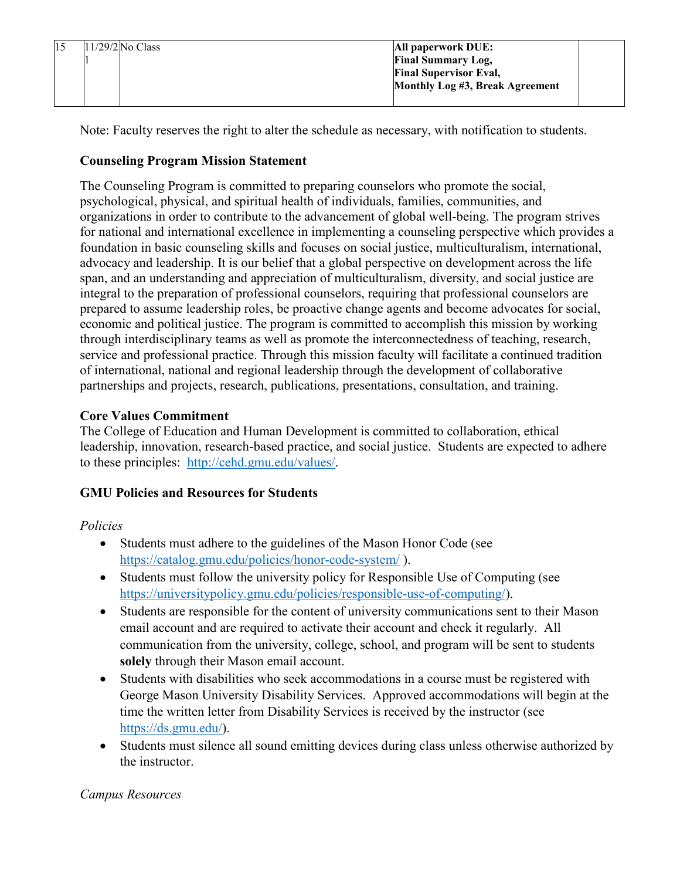| $11/29/2$ No Class | All paperwork DUE:              |
|--------------------|---------------------------------|
|                    | <b>Final Summary Log,</b>       |
|                    | <b>Final Supervisor Eval,</b>   |
|                    | Monthly Log #3, Break Agreement |
|                    |                                 |

Note: Faculty reserves the right to alter the schedule as necessary, with notification to students.

## **Counseling Program Mission Statement**

The Counseling Program is committed to preparing counselors who promote the social, psychological, physical, and spiritual health of individuals, families, communities, and organizations in order to contribute to the advancement of global well-being. The program strives for national and international excellence in implementing a counseling perspective which provides a foundation in basic counseling skills and focuses on social justice, multiculturalism, international, advocacy and leadership. It is our belief that a global perspective on development across the life span, and an understanding and appreciation of multiculturalism, diversity, and social justice are integral to the preparation of professional counselors, requiring that professional counselors are prepared to assume leadership roles, be proactive change agents and become advocates for social, economic and political justice. The program is committed to accomplish this mission by working through interdisciplinary teams as well as promote the interconnectedness of teaching, research, service and professional practice. Through this mission faculty will facilitate a continued tradition of international, national and regional leadership through the development of collaborative partnerships and projects, research, publications, presentations, consultation, and training.

## **Core Values Commitment**

The College of Education and Human Development is committed to collaboration, ethical leadership, innovation, research-based practice, and social justice. Students are expected to adhere to these principles: [http://cehd.gmu.edu/values/.](http://cehd.gmu.edu/values/)

# **GMU Policies and Resources for Students**

## *Policies*

- Students must adhere to the guidelines of the Mason Honor Code (see <https://catalog.gmu.edu/policies/honor-code-system/> ).
- Students must follow the university policy for Responsible Use of Computing (see [https://universitypolicy.gmu.edu/policies/responsible-use-of-computing/\)](https://universitypolicy.gmu.edu/policies/responsible-use-of-computing/).
- Students are responsible for the content of university communications sent to their Mason email account and are required to activate their account and check it regularly. All communication from the university, college, school, and program will be sent to students **solely** through their Mason email account.
- Students with disabilities who seek accommodations in a course must be registered with George Mason University Disability Services. Approved accommodations will begin at the time the written letter from Disability Services is received by the instructor (see [https://ds.gmu.edu/\)](https://ds.gmu.edu/).
- Students must silence all sound emitting devices during class unless otherwise authorized by the instructor.

# *Campus Resources*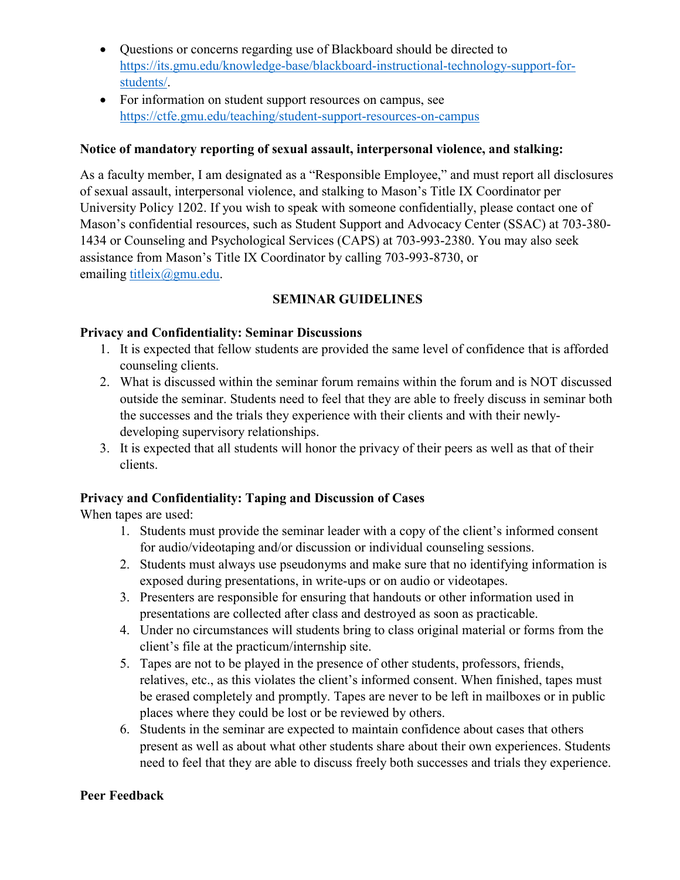- Questions or concerns regarding use of Blackboard should be directed to [https://its.gmu.edu/knowledge-base/blackboard-instructional-technology-support-for](https://its.gmu.edu/knowledge-base/blackboard-instructional-technology-support-for-students/)[students/.](https://its.gmu.edu/knowledge-base/blackboard-instructional-technology-support-for-students/)
- For information on student support resources on campus, see <https://ctfe.gmu.edu/teaching/student-support-resources-on-campus>

## **Notice of mandatory reporting of sexual assault, interpersonal violence, and stalking:**

As a faculty member, I am designated as a "Responsible Employee," and must report all disclosures of sexual assault, interpersonal violence, and stalking to Mason's Title IX Coordinator per University Policy 1202. If you wish to speak with someone confidentially, please contact one of Mason's confidential resources, such as Student Support and Advocacy Center (SSAC) at 703-380- 1434 or Counseling and Psychological Services (CAPS) at 703-993-2380. You may also seek assistance from Mason's Title IX Coordinator by calling 703-993-8730, or emailing [titleix@gmu.edu.](mailto:titleix@gmu.edu)

## **SEMINAR GUIDELINES**

## **Privacy and Confidentiality: Seminar Discussions**

- 1. It is expected that fellow students are provided the same level of confidence that is afforded counseling clients.
- 2. What is discussed within the seminar forum remains within the forum and is NOT discussed outside the seminar. Students need to feel that they are able to freely discuss in seminar both the successes and the trials they experience with their clients and with their newlydeveloping supervisory relationships.
- 3. It is expected that all students will honor the privacy of their peers as well as that of their clients.

## **Privacy and Confidentiality: Taping and Discussion of Cases**

When tapes are used:

- 1. Students must provide the seminar leader with a copy of the client's informed consent for audio/videotaping and/or discussion or individual counseling sessions.
- 2. Students must always use pseudonyms and make sure that no identifying information is exposed during presentations, in write-ups or on audio or videotapes.
- 3. Presenters are responsible for ensuring that handouts or other information used in presentations are collected after class and destroyed as soon as practicable.
- 4. Under no circumstances will students bring to class original material or forms from the client's file at the practicum/internship site.
- 5. Tapes are not to be played in the presence of other students, professors, friends, relatives, etc., as this violates the client's informed consent. When finished, tapes must be erased completely and promptly. Tapes are never to be left in mailboxes or in public places where they could be lost or be reviewed by others.
- 6. Students in the seminar are expected to maintain confidence about cases that others present as well as about what other students share about their own experiences. Students need to feel that they are able to discuss freely both successes and trials they experience.

## **Peer Feedback**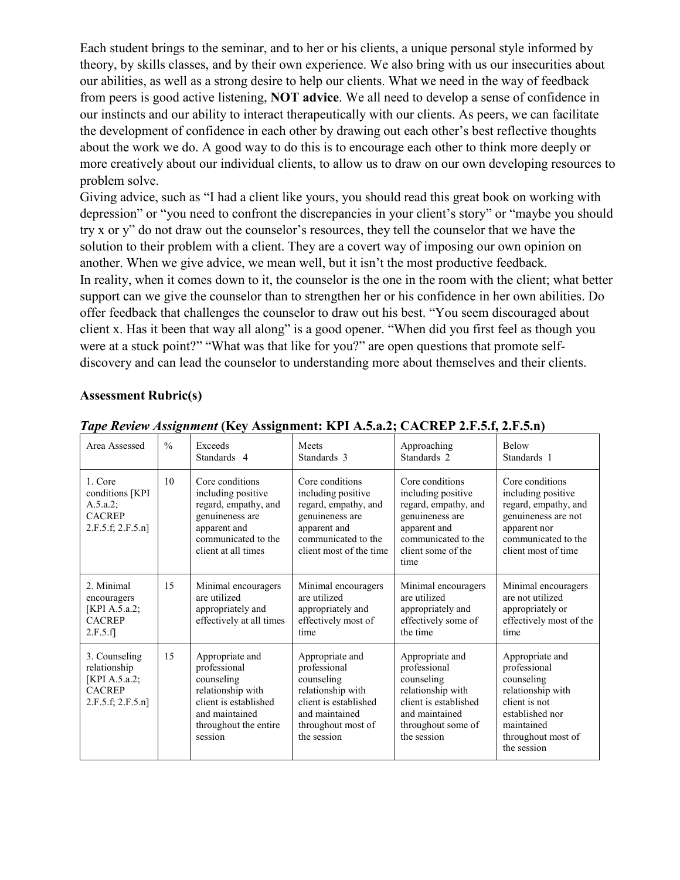Each student brings to the seminar, and to her or his clients, a unique personal style informed by theory, by skills classes, and by their own experience. We also bring with us our insecurities about our abilities, as well as a strong desire to help our clients. What we need in the way of feedback from peers is good active listening, **NOT advice**. We all need to develop a sense of confidence in our instincts and our ability to interact therapeutically with our clients. As peers, we can facilitate the development of confidence in each other by drawing out each other's best reflective thoughts about the work we do. A good way to do this is to encourage each other to think more deeply or more creatively about our individual clients, to allow us to draw on our own developing resources to problem solve.

Giving advice, such as "I had a client like yours, you should read this great book on working with depression" or "you need to confront the discrepancies in your client's story" or "maybe you should try x or y" do not draw out the counselor's resources, they tell the counselor that we have the solution to their problem with a client. They are a covert way of imposing our own opinion on another. When we give advice, we mean well, but it isn't the most productive feedback. In reality, when it comes down to it, the counselor is the one in the room with the client; what better support can we give the counselor than to strengthen her or his confidence in her own abilities. Do offer feedback that challenges the counselor to draw out his best. "You seem discouraged about client x. Has it been that way all along" is a good opener. "When did you first feel as though you were at a stuck point?" "What was that like for you?" are open questions that promote selfdiscovery and can lead the counselor to understanding more about themselves and their clients.

#### **Assessment Rubric(s)**

| Area Assessed                                                                              | $\frac{0}{0}$ | Exceeds<br>Standards 4                                                                                                                            | Meets<br>Standards 3                                                                                                                               | Approaching<br>Standards <sub>2</sub>                                                                                                                 | <b>Below</b><br>Standards 1                                                                                                                               |
|--------------------------------------------------------------------------------------------|---------------|---------------------------------------------------------------------------------------------------------------------------------------------------|----------------------------------------------------------------------------------------------------------------------------------------------------|-------------------------------------------------------------------------------------------------------------------------------------------------------|-----------------------------------------------------------------------------------------------------------------------------------------------------------|
| 1. Core<br>conditions [KPI<br>A.5.a.2;<br><b>CACREP</b><br>2.F.5.f; 2.F.5.n]               | 10            | Core conditions<br>including positive<br>regard, empathy, and<br>genuineness are<br>apparent and<br>communicated to the<br>client at all times    | Core conditions<br>including positive<br>regard, empathy, and<br>genuineness are<br>apparent and<br>communicated to the<br>client most of the time | Core conditions<br>including positive<br>regard, empathy, and<br>genuineness are<br>apparent and<br>communicated to the<br>client some of the<br>time | Core conditions<br>including positive<br>regard, empathy, and<br>genuineness are not<br>apparent nor<br>communicated to the<br>client most of time        |
| 2. Minimal<br>encouragers<br>[KPI A.5.a.2;<br><b>CACREP</b><br>2.F.5.f]                    | 15            | Minimal encouragers<br>are utilized<br>appropriately and<br>effectively at all times                                                              | Minimal encouragers<br>are utilized<br>appropriately and<br>effectively most of<br>time                                                            | Minimal encouragers<br>are utilized<br>appropriately and<br>effectively some of<br>the time                                                           | Minimal encouragers<br>are not utilized<br>appropriately or<br>effectively most of the<br>time                                                            |
| 3. Counseling<br>relationship<br>[KPI A.5.a.2;<br><b>CACREP</b><br>$2.F.5.f$ ; $2.F.5.n$ ] | 15            | Appropriate and<br>professional<br>counseling<br>relationship with<br>client is established<br>and maintained<br>throughout the entire<br>session | Appropriate and<br>professional<br>counseling<br>relationship with<br>client is established<br>and maintained<br>throughout most of<br>the session | Appropriate and<br>professional<br>counseling<br>relationship with<br>client is established<br>and maintained<br>throughout some of<br>the session    | Appropriate and<br>professional<br>counseling<br>relationship with<br>client is not<br>established nor<br>maintained<br>throughout most of<br>the session |

*Tape Review Assignment* **(Key Assignment: KPI A.5.a.2; CACREP 2.F.5.f, 2.F.5.n)**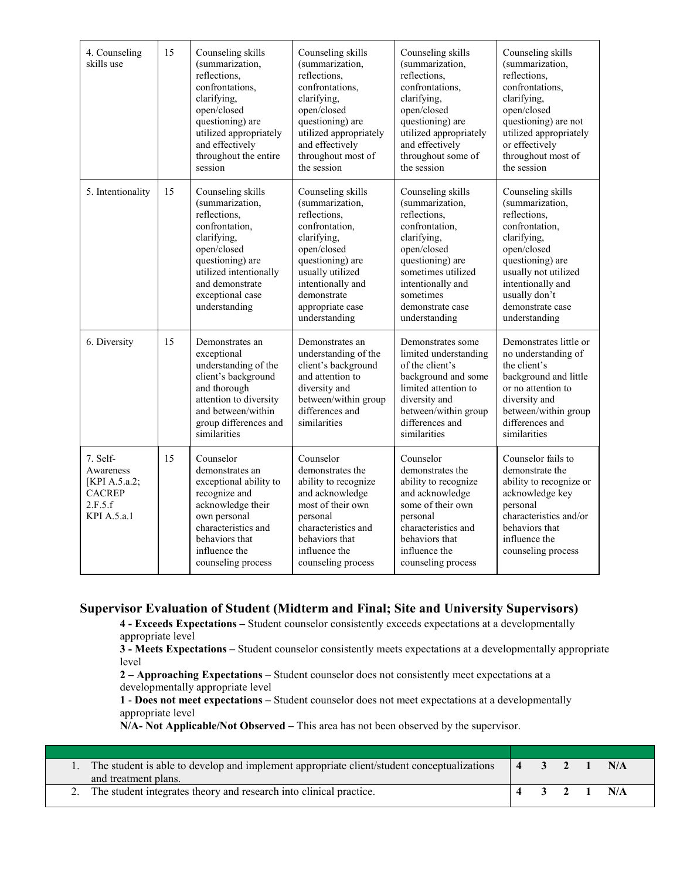| 4. Counseling<br>skills use                                                       | 15 | Counseling skills<br>(summarization,<br>reflections,<br>confrontations.<br>clarifying,<br>open/closed<br>questioning) are<br>utilized appropriately<br>and effectively<br>throughout the entire<br>session | Counseling skills<br>(summarization,<br>reflections.<br>confrontations.<br>clarifying,<br>open/closed<br>questioning) are<br>utilized appropriately<br>and effectively<br>throughout most of<br>the session           | Counseling skills<br>(summarization,<br>reflections.<br>confrontations.<br>clarifying,<br>open/closed<br>questioning) are<br>utilized appropriately<br>and effectively<br>throughout some of<br>the session           | Counseling skills<br>(summarization,<br>reflections.<br>confrontations,<br>clarifying,<br>open/closed<br>questioning) are not<br>utilized appropriately<br>or effectively<br>throughout most of<br>the session              |
|-----------------------------------------------------------------------------------|----|------------------------------------------------------------------------------------------------------------------------------------------------------------------------------------------------------------|-----------------------------------------------------------------------------------------------------------------------------------------------------------------------------------------------------------------------|-----------------------------------------------------------------------------------------------------------------------------------------------------------------------------------------------------------------------|-----------------------------------------------------------------------------------------------------------------------------------------------------------------------------------------------------------------------------|
| 5. Intentionality                                                                 | 15 | Counseling skills<br>(summarization,<br>reflections.<br>confrontation,<br>clarifying,<br>open/closed<br>questioning) are<br>utilized intentionally<br>and demonstrate<br>exceptional case<br>understanding | Counseling skills<br>(summarization,<br>reflections.<br>confrontation,<br>clarifying,<br>open/closed<br>questioning) are<br>usually utilized<br>intentionally and<br>demonstrate<br>appropriate case<br>understanding | Counseling skills<br>(summarization,<br>reflections.<br>confrontation,<br>clarifying,<br>open/closed<br>questioning) are<br>sometimes utilized<br>intentionally and<br>sometimes<br>demonstrate case<br>understanding | Counseling skills<br>(summarization,<br>reflections.<br>confrontation,<br>clarifying,<br>open/closed<br>questioning) are<br>usually not utilized<br>intentionally and<br>usually don't<br>demonstrate case<br>understanding |
| 6. Diversity                                                                      | 15 | Demonstrates an<br>exceptional<br>understanding of the<br>client's background<br>and thorough<br>attention to diversity<br>and between/within<br>group differences and<br>similarities                     | Demonstrates an<br>understanding of the<br>client's background<br>and attention to<br>diversity and<br>between/within group<br>differences and<br>similarities                                                        | Demonstrates some<br>limited understanding<br>of the client's<br>background and some<br>limited attention to<br>diversity and<br>between/within group<br>differences and<br>similarities                              | Demonstrates little or<br>no understanding of<br>the client's<br>background and little<br>or no attention to<br>diversity and<br>between/within group<br>differences and<br>similarities                                    |
| 7. Self-<br>Awareness<br>[KPI A.5.a.2;<br><b>CACREP</b><br>2.F.5.f<br>KPI A.5.a.1 | 15 | Counselor<br>demonstrates an<br>exceptional ability to<br>recognize and<br>acknowledge their<br>own personal<br>characteristics and<br>behaviors that<br>influence the<br>counseling process               | Counselor<br>demonstrates the<br>ability to recognize<br>and acknowledge<br>most of their own<br>personal<br>characteristics and<br>behaviors that<br>influence the<br>counseling process                             | Counselor<br>demonstrates the<br>ability to recognize<br>and acknowledge<br>some of their own<br>personal<br>characteristics and<br>behaviors that<br>influence the<br>counseling process                             | Counselor fails to<br>demonstrate the<br>ability to recognize or<br>acknowledge key<br>personal<br>characteristics and/or<br>behaviors that<br>influence the<br>counseling process                                          |

#### **Supervisor Evaluation of Student (Midterm and Final; Site and University Supervisors)**

**4 - Exceeds Expectations –** Student counselor consistently exceeds expectations at a developmentally appropriate level

**3 - Meets Expectations –** Student counselor consistently meets expectations at a developmentally appropriate level

**2 – Approaching Expectations** – Student counselor does not consistently meet expectations at a developmentally appropriate level

**1** - **Does not meet expectations –** Student counselor does not meet expectations at a developmentally appropriate level

**N/A- Not Applicable/Not Observed –** This area has not been observed by the supervisor.

| The student is able to develop and implement appropriate client/student conceptualizations $\begin{vmatrix} 4 & 3 & 2 & 1 \end{vmatrix}$ N/A |                                                 |  |     |
|----------------------------------------------------------------------------------------------------------------------------------------------|-------------------------------------------------|--|-----|
| and treatment plans.                                                                                                                         |                                                 |  |     |
| 2. The student integrates theory and research into clinical practice.                                                                        | $\begin{array}{cccc} 4 & 3 & 2 & 1 \end{array}$ |  | N/A |
|                                                                                                                                              |                                                 |  |     |